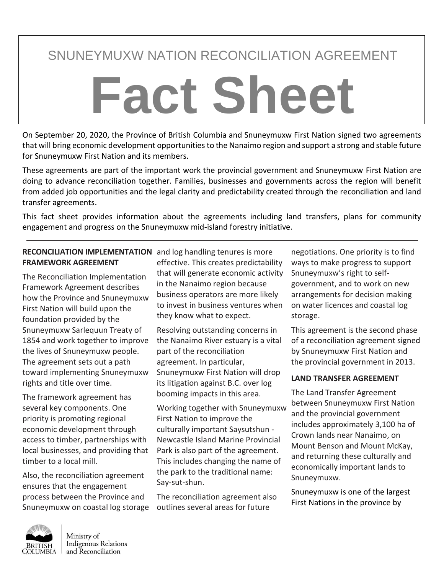# SNUNEYMUXW NATION RECONCILIATION AGREEMENT

# **Fact Sheet**

On September 20, 2020, the Province of British Columbia and Snuneymuxw First Nation signed two agreements that will bring economic development opportunities to the Nanaimo region and support a strong and stable future for Snuneymuxw First Nation and its members.

These agreements are part of the important work the provincial government and Snuneymuxw First Nation are doing to advance reconciliation together. Families, businesses and governments across the region will benefit from added job opportunities and the legal clarity and predictability created through the reconciliation and land transfer agreements.

This fact sheet provides information about the agreements including land transfers, plans for community engagement and progress on the Snuneymuxw mid-island forestry initiative.

#### **RECONCILIATION IMPLEMENTATION**  and log handling tenures is more **FRAMEWORK AGREEMENT**

The Reconciliation Implementation Framework Agreement describes how the Province and Snuneymuxw First Nation will build upon the foundation provided by the Snuneymuxw Sarlequun Treaty of 1854 and work together to improve the lives of Snuneymuxw people. The agreement sets out a path toward implementing Snuneymuxw rights and title over time.

The framework agreement has several key components. One priority is promoting regional economic development through access to timber, partnerships with local businesses, and providing that timber to a local mill.

Also, the reconciliation agreement ensures that the engagement process between the Province and Snuneymuxw on coastal log storage effective. This creates predictability that will generate economic activity in the Nanaimo region because business operators are more likely to invest in business ventures when they know what to expect.

Resolving outstanding concerns in the Nanaimo River estuary is a vital part of the reconciliation agreement. In particular, Snuneymuxw First Nation will drop its litigation against B.C. over log booming impacts in this area.

Working together with Snuneymuxw First Nation to improve the culturally important Saysutshun - Newcastle Island Marine Provincial Park is also part of the agreement. This includes changing the name of the park to the traditional name: Say-sut-shun.

The reconciliation agreement also outlines several areas for future

negotiations. One priority is to find ways to make progress to support Snuneymuxw's right to selfgovernment, and to work on new arrangements for decision making on water licences and coastal log storage.

This agreement is the second phase of a reconciliation agreement signed by Snuneymuxw First Nation and the provincial government in 2013.

# **LAND TRANSFER AGREEMENT**

The Land Transfer Agreement between Snuneymuxw First Nation and the provincial government includes approximately 3,100 ha of Crown lands near Nanaimo, on Mount Benson and Mount McKay, and returning these culturally and economically important lands to Snuneymuxw.

Snuneymuxw is one of the largest First Nations in the province by